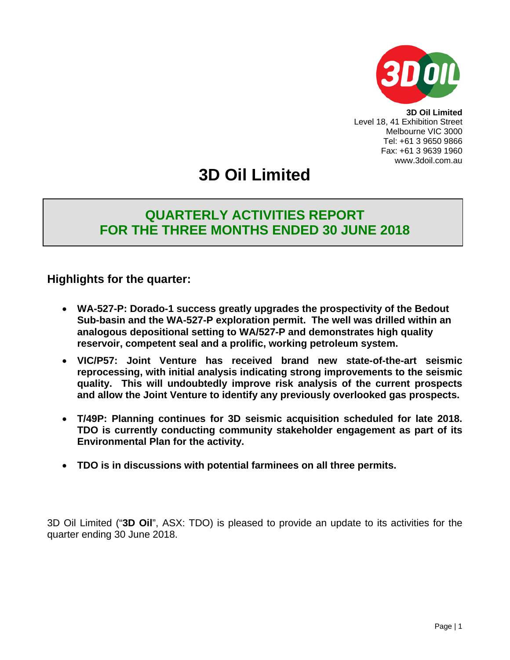

**3D Oil Limited** Level 18, 41 Exhibition Street Melbourne VIC 3000 Tel: +61 3 9650 9866 Fax: +61 3 9639 1960 www.3doil.com.au

# **3D Oil Limited**

## **QUARTERLY ACTIVITIES REPORT FOR THE THREE MONTHS ENDED 30 JUNE 2018**

## **Highlights for the quarter:**

- **WA-527-P: Dorado-1 success greatly upgrades the prospectivity of the Bedout Sub-basin and the WA-527-P exploration permit. The well was drilled within an analogous depositional setting to WA/527-P and demonstrates high quality reservoir, competent seal and a prolific, working petroleum system.**
- **VIC/P57: Joint Venture has received brand new state-of-the-art seismic reprocessing, with initial analysis indicating strong improvements to the seismic quality. This will undoubtedly improve risk analysis of the current prospects and allow the Joint Venture to identify any previously overlooked gas prospects.**
- **T/49P: Planning continues for 3D seismic acquisition scheduled for late 2018. TDO is currently conducting community stakeholder engagement as part of its Environmental Plan for the activity.**
- **TDO is in discussions with potential farminees on all three permits.**

3D Oil Limited ("**3D Oil**", ASX: TDO) is pleased to provide an update to its activities for the quarter ending 30 June 2018.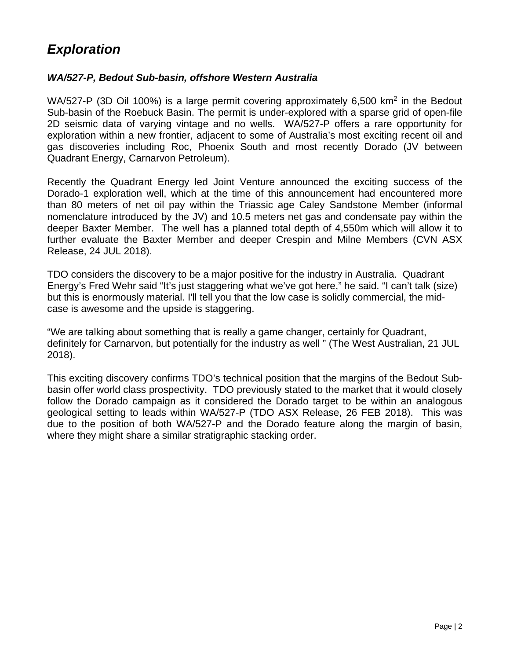## *Exploration*

### *WA/527-P, Bedout Sub-basin, offshore Western Australia*

WA/527-P (3D Oil 100%) is a large permit covering approximately 6,500 km<sup>2</sup> in the Bedout Sub-basin of the Roebuck Basin. The permit is under-explored with a sparse grid of open-file 2D seismic data of varying vintage and no wells. WA/527-P offers a rare opportunity for exploration within a new frontier, adjacent to some of Australia's most exciting recent oil and gas discoveries including Roc, Phoenix South and most recently Dorado (JV between Quadrant Energy, Carnarvon Petroleum).

Recently the Quadrant Energy led Joint Venture announced the exciting success of the Dorado-1 exploration well, which at the time of this announcement had encountered more than 80 meters of net oil pay within the Triassic age Caley Sandstone Member (informal nomenclature introduced by the JV) and 10.5 meters net gas and condensate pay within the deeper Baxter Member. The well has a planned total depth of 4,550m which will allow it to further evaluate the Baxter Member and deeper Crespin and Milne Members (CVN ASX Release, 24 JUL 2018).

TDO considers the discovery to be a major positive for the industry in Australia. Quadrant Energy's Fred Wehr said "It's just staggering what we've got here," he said. "I can't talk (size) but this is enormously material. I'll tell you that the low case is solidly commercial, the midcase is awesome and the upside is staggering.

"We are talking about something that is really a game changer, certainly for Quadrant, definitely for Carnarvon, but potentially for the industry as well " (The West Australian, 21 JUL 2018).

This exciting discovery confirms TDO's technical position that the margins of the Bedout Subbasin offer world class prospectivity. TDO previously stated to the market that it would closely follow the Dorado campaign as it considered the Dorado target to be within an analogous geological setting to leads within WA/527-P (TDO ASX Release, 26 FEB 2018). This was due to the position of both WA/527-P and the Dorado feature along the margin of basin, where they might share a similar stratigraphic stacking order.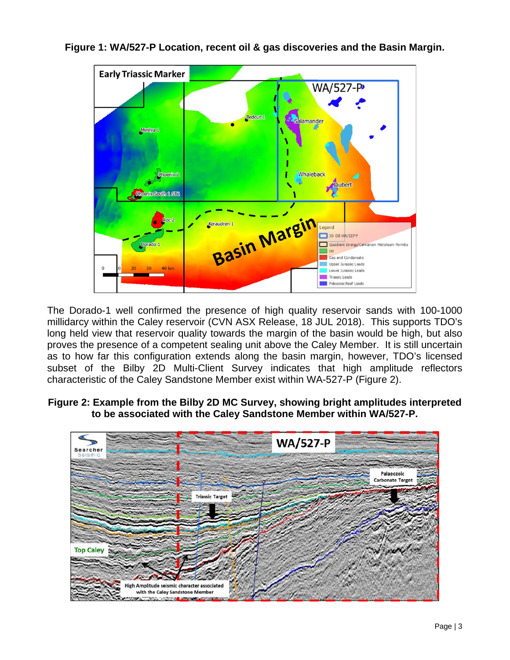

**Figure 1: WA/527-P Location, recent oil & gas discoveries and the Basin Margin.** 

The Dorado-1 well confirmed the presence of high quality reservoir sands with 100-1000 millidarcy within the Caley reservoir (CVN ASX Release, 18 JUL 2018). This supports TDO's long held view that reservoir quality towards the margin of the basin would be high, but also proves the presence of a competent sealing unit above the Caley Member. It is still uncertain as to how far this configuration extends along the basin margin, however, TDO's licensed subset of the Bilby 2D Multi-Client Survey indicates that high amplitude reflectors characteristic of the Caley Sandstone Member exist within WA-527-P (Figure 2).

**Figure 2: Example from the Bilby 2D MC Survey, showing bright amplitudes interpreted to be associated with the Caley Sandstone Member within WA/527-P.** 

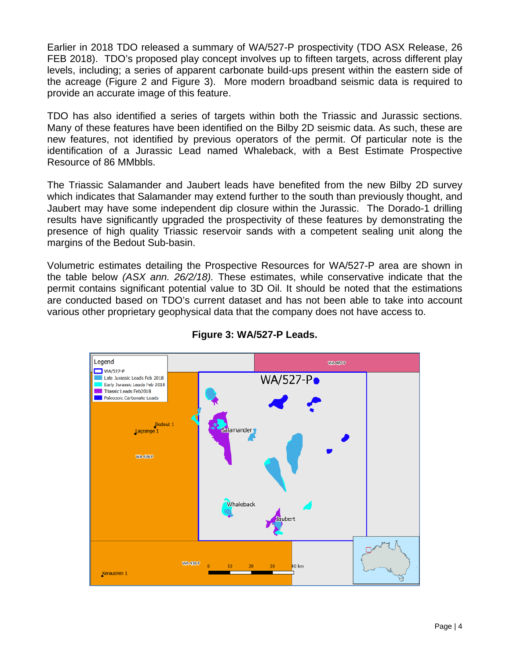Earlier in 2018 TDO released a summary of WA/527-P prospectivity (TDO ASX Release, 26 FEB 2018). TDO's proposed play concept involves up to fifteen targets, across different play levels, including; a series of apparent carbonate build-ups present within the eastern side of the acreage (Figure 2 and Figure 3). More modern broadband seismic data is required to provide an accurate image of this feature.

TDO has also identified a series of targets within both the Triassic and Jurassic sections. Many of these features have been identified on the Bilby 2D seismic data. As such, these are new features, not identified by previous operators of the permit. Of particular note is the identification of a Jurassic Lead named Whaleback, with a Best Estimate Prospective Resource of 86 MMbbls.

The Triassic Salamander and Jaubert leads have benefited from the new Bilby 2D survey which indicates that Salamander may extend further to the south than previously thought, and Jaubert may have some independent dip closure within the Jurassic. The Dorado-1 drilling results have significantly upgraded the prospectivity of these features by demonstrating the presence of high quality Triassic reservoir sands with a competent sealing unit along the margins of the Bedout Sub-basin.

Volumetric estimates detailing the Prospective Resources for WA/527-P area are shown in the table below *(ASX ann. 26/2/18).* These estimates, while conservative indicate that the permit contains significant potential value to 3D Oil. It should be noted that the estimations are conducted based on TDO's current dataset and has not been able to take into account various other proprietary geophysical data that the company does not have access to.



**Figure 3: WA/527-P Leads.**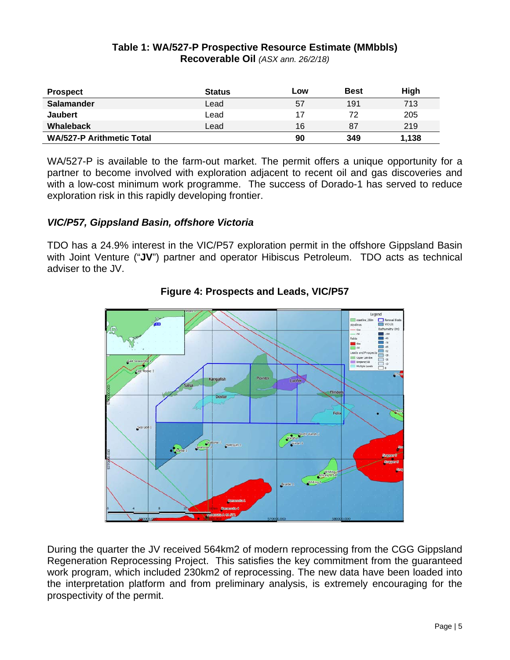#### **Table 1: WA/527-P Prospective Resource Estimate (MMbbls) Recoverable Oil** *(ASX ann. 26/2/18)*

| <b>Prospect</b>                  | <b>Status</b> | LOW | <b>Best</b> | High  |
|----------------------------------|---------------|-----|-------------|-------|
| Salamander                       | Lead          | 57  | 191         | 713   |
| <b>Jaubert</b>                   | Lead          | 17  | 72          | 205   |
| <b>Whaleback</b>                 | Lead          | 16  | 87          | 219   |
| <b>WA/527-P Arithmetic Total</b> |               | 90  | 349         | 1.138 |

WA/527-P is available to the farm-out market. The permit offers a unique opportunity for a partner to become involved with exploration adjacent to recent oil and gas discoveries and with a low-cost minimum work programme. The success of Dorado-1 has served to reduce exploration risk in this rapidly developing frontier.

### *VIC/P57, Gippsland Basin, offshore Victoria*

TDO has a 24.9% interest in the VIC/P57 exploration permit in the offshore Gippsland Basin with Joint Venture ("**JV**") partner and operator Hibiscus Petroleum. TDO acts as technical adviser to the JV.



**Figure 4: Prospects and Leads, VIC/P57**

During the quarter the JV received 564km2 of modern reprocessing from the CGG Gippsland Regeneration Reprocessing Project. This satisfies the key commitment from the guaranteed work program, which included 230km2 of reprocessing. The new data have been loaded into the interpretation platform and from preliminary analysis, is extremely encouraging for the prospectivity of the permit.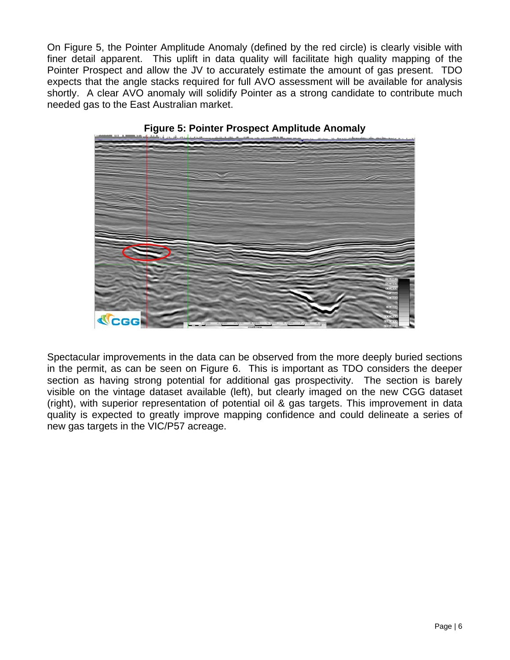On Figure 5, the Pointer Amplitude Anomaly (defined by the red circle) is clearly visible with finer detail apparent. This uplift in data quality will facilitate high quality mapping of the Pointer Prospect and allow the JV to accurately estimate the amount of gas present. TDO expects that the angle stacks required for full AVO assessment will be available for analysis shortly. A clear AVO anomaly will solidify Pointer as a strong candidate to contribute much needed gas to the East Australian market.



**Figure 5: Pointer Prospect Amplitude Anomaly**

Spectacular improvements in the data can be observed from the more deeply buried sections in the permit, as can be seen on Figure 6. This is important as TDO considers the deeper section as having strong potential for additional gas prospectivity. The section is barely visible on the vintage dataset available (left), but clearly imaged on the new CGG dataset (right), with superior representation of potential oil & gas targets. This improvement in data quality is expected to greatly improve mapping confidence and could delineate a series of new gas targets in the VIC/P57 acreage.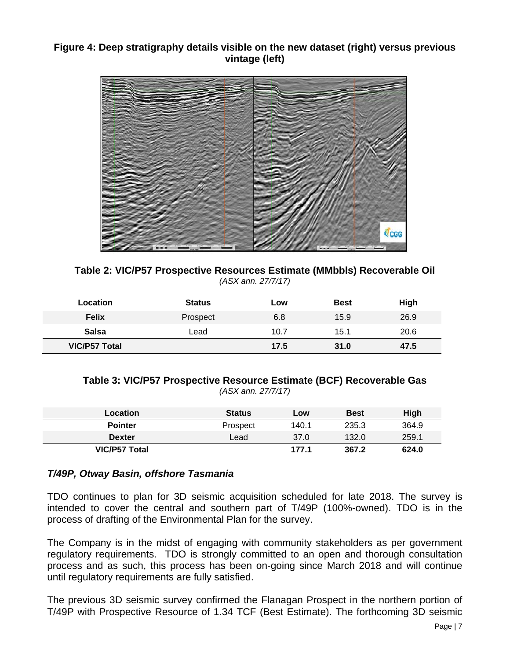### **Figure 4: Deep stratigraphy details visible on the new dataset (right) versus previous vintage (left)**



**Table 2: VIC/P57 Prospective Resources Estimate (MMbbls) Recoverable Oil** *(ASX ann. 27/7/17)*

| <b>Location</b>      | <b>Status</b> | Low  | <b>Best</b> | <b>High</b> |
|----------------------|---------------|------|-------------|-------------|
| <b>Felix</b>         | Prospect      | 6.8  | 15.9        | 26.9        |
| <b>Salsa</b>         | Lead          | 10.7 | 15.1        | 20.6        |
| <b>VIC/P57 Total</b> |               | 17.5 | 31.0        | 47.5        |

#### **Table 3: VIC/P57 Prospective Resource Estimate (BCF) Recoverable Gas** *(ASX ann. 27/7/17)*

| Location             | <b>Status</b> | Low   | <b>Best</b> | High  |
|----------------------|---------------|-------|-------------|-------|
| <b>Pointer</b>       | Prospect      | 140.1 | 235.3       | 364.9 |
| Dexter               | ∟ead          | 37.0  | 132.0       | 259.1 |
| <b>VIC/P57 Total</b> |               | 177.1 | 367.2       | 624.0 |

### *T/49P, Otway Basin, offshore Tasmania*

TDO continues to plan for 3D seismic acquisition scheduled for late 2018. The survey is intended to cover the central and southern part of T/49P (100%-owned). TDO is in the process of drafting of the Environmental Plan for the survey.

The Company is in the midst of engaging with community stakeholders as per government regulatory requirements. TDO is strongly committed to an open and thorough consultation process and as such, this process has been on-going since March 2018 and will continue until regulatory requirements are fully satisfied.

The previous 3D seismic survey confirmed the Flanagan Prospect in the northern portion of T/49P with Prospective Resource of 1.34 TCF (Best Estimate). The forthcoming 3D seismic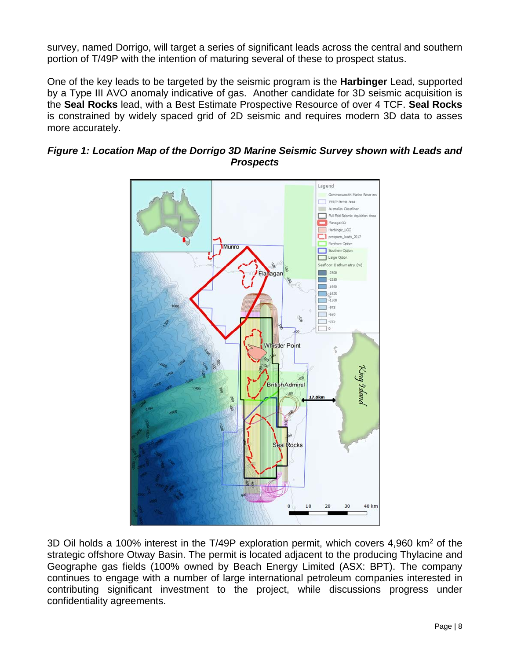survey, named Dorrigo, will target a series of significant leads across the central and southern portion of T/49P with the intention of maturing several of these to prospect status.

One of the key leads to be targeted by the seismic program is the **Harbinger** Lead, supported by a Type III AVO anomaly indicative of gas. Another candidate for 3D seismic acquisition is the **Seal Rocks** lead, with a Best Estimate Prospective Resource of over 4 TCF. **Seal Rocks** is constrained by widely spaced grid of 2D seismic and requires modern 3D data to asses more accurately.



### *Figure 1: Location Map of the Dorrigo 3D Marine Seismic Survey shown with Leads and Prospects*

3D Oil holds a 100% interest in the T/49P exploration permit, which covers 4,960 km<sup>2</sup> of the strategic offshore Otway Basin. The permit is located adjacent to the producing Thylacine and Geographe gas fields (100% owned by Beach Energy Limited (ASX: BPT). The company continues to engage with a number of large international petroleum companies interested in contributing significant investment to the project, while discussions progress under confidentiality agreements.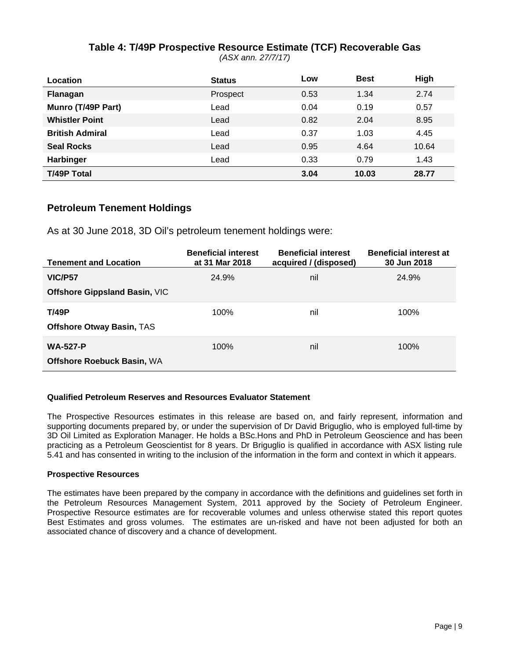### **Table 4: T/49P Prospective Resource Estimate (TCF) Recoverable Gas**

*(ASX ann. 27/7/17)*

| <b>Location</b>        | <b>Status</b> | LOW  | <b>Best</b> | High  |
|------------------------|---------------|------|-------------|-------|
| Flanagan               | Prospect      | 0.53 | 1.34        | 2.74  |
| Munro (T/49P Part)     | Lead          | 0.04 | 0.19        | 0.57  |
| <b>Whistler Point</b>  | Lead          | 0.82 | 2.04        | 8.95  |
| <b>British Admiral</b> | Lead          | 0.37 | 1.03        | 4.45  |
| <b>Seal Rocks</b>      | Lead          | 0.95 | 4.64        | 10.64 |
| <b>Harbinger</b>       | Lead          | 0.33 | 0.79        | 1.43  |
| <b>T/49P Total</b>     |               | 3.04 | 10.03       | 28.77 |

#### **Petroleum Tenement Holdings**

As at 30 June 2018, 3D Oil's petroleum tenement holdings were:

| <b>Tenement and Location</b>         | <b>Beneficial interest</b><br>at 31 Mar 2018 | <b>Beneficial interest</b><br>acquired / (disposed) | <b>Beneficial interest at</b><br>30 Jun 2018 |
|--------------------------------------|----------------------------------------------|-----------------------------------------------------|----------------------------------------------|
| VIC/P57                              | 24.9%                                        | nil                                                 | 24.9%                                        |
| <b>Offshore Gippsland Basin, VIC</b> |                                              |                                                     |                                              |
| <b>T/49P</b>                         | 100%                                         | nil                                                 | 100%                                         |
| <b>Offshore Otway Basin, TAS</b>     |                                              |                                                     |                                              |
| <b>WA-527-P</b>                      | 100%                                         | nil                                                 | 100%                                         |
| <b>Offshore Roebuck Basin, WA</b>    |                                              |                                                     |                                              |

#### **Qualified Petroleum Reserves and Resources Evaluator Statement**

The Prospective Resources estimates in this release are based on, and fairly represent, information and supporting documents prepared by, or under the supervision of Dr David Briguglio, who is employed full-time by 3D Oil Limited as Exploration Manager. He holds a BSc.Hons and PhD in Petroleum Geoscience and has been practicing as a Petroleum Geoscientist for 8 years. Dr Briguglio is qualified in accordance with ASX listing rule 5.41 and has consented in writing to the inclusion of the information in the form and context in which it appears.

#### **Prospective Resources**

The estimates have been prepared by the company in accordance with the definitions and guidelines set forth in the Petroleum Resources Management System, 2011 approved by the Society of Petroleum Engineer. Prospective Resource estimates are for recoverable volumes and unless otherwise stated this report quotes Best Estimates and gross volumes. The estimates are un-risked and have not been adjusted for both an associated chance of discovery and a chance of development.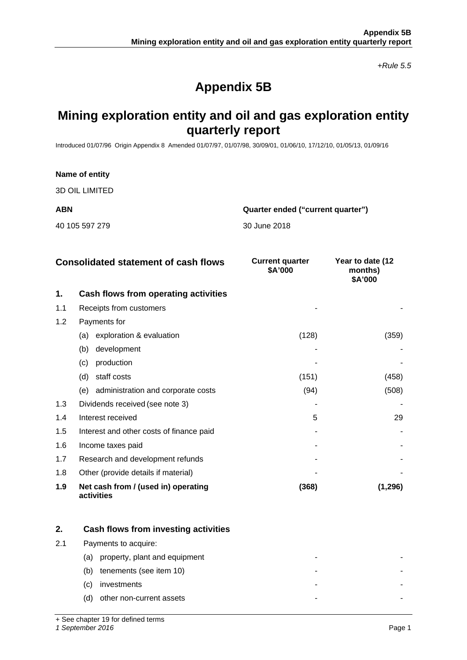*+Rule 5.5*

## **Appendix 5B**

## **Mining exploration entity and oil and gas exploration entity quarterly report**

Introduced 01/07/96 Origin Appendix 8 Amended 01/07/97, 01/07/98, 30/09/01, 01/06/10, 17/12/10, 01/05/13, 01/09/16

## **Name of entity** 3D OIL LIMITED **ABN Quarter ended ("current quarter")** 40 105 597 279 30 June 2018

|     | <b>Consolidated statement of cash flows</b>       | <b>Current quarter</b><br>\$A'000 | Year to date (12<br>months)<br>\$A'000 |
|-----|---------------------------------------------------|-----------------------------------|----------------------------------------|
| 1.  | Cash flows from operating activities              |                                   |                                        |
| 1.1 | Receipts from customers                           |                                   |                                        |
| 1.2 | Payments for                                      |                                   |                                        |
|     | exploration & evaluation<br>(a)                   | (128)                             | (359)                                  |
|     | development<br>(b)                                |                                   |                                        |
|     | production<br>(c)                                 |                                   |                                        |
|     | staff costs<br>(d)                                | (151)                             | (458)                                  |
|     | administration and corporate costs<br>(e)         | (94)                              | (508)                                  |
| 1.3 | Dividends received (see note 3)                   |                                   |                                        |
| 1.4 | Interest received                                 | 5                                 | 29                                     |
| 1.5 | Interest and other costs of finance paid          |                                   |                                        |
| 1.6 | Income taxes paid                                 |                                   |                                        |
| 1.7 | Research and development refunds                  |                                   |                                        |
| 1.8 | Other (provide details if material)               |                                   |                                        |
| 1.9 | Net cash from / (used in) operating<br>activities | (368)                             | (1, 296)                               |

|     | Cash flows from investing activities |   |  |
|-----|--------------------------------------|---|--|
| 2.1 | Payments to acquire:                 |   |  |
|     | property, plant and equipment<br>(a) |   |  |
|     | tenements (see item 10)<br>(b)       |   |  |
|     | investments<br>(C)                   | - |  |
|     | other non-current assets<br>(d)      | - |  |

+ See chapter 19 for defined terms

*1 September 2016* Page 1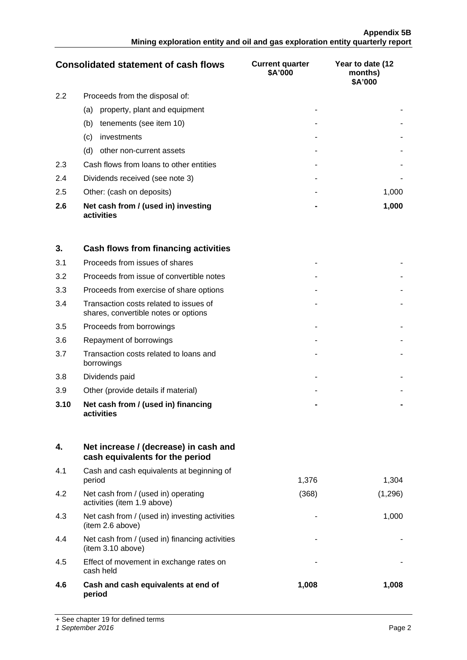|     | <b>Consolidated statement of cash flows</b>       | <b>Current quarter</b><br>\$A'000 | Year to date (12<br>months)<br>\$A'000 |
|-----|---------------------------------------------------|-----------------------------------|----------------------------------------|
| 2.2 | Proceeds from the disposal of:                    |                                   |                                        |
|     | property, plant and equipment<br>(a)              |                                   |                                        |
|     | tenements (see item 10)<br>(b)                    |                                   |                                        |
|     | investments<br>$\left( c\right)$                  |                                   |                                        |
|     | other non-current assets<br>(d)                   |                                   |                                        |
| 2.3 | Cash flows from loans to other entities           |                                   |                                        |
| 2.4 | Dividends received (see note 3)                   |                                   |                                        |
| 2.5 | Other: (cash on deposits)                         |                                   | 1.000                                  |
| 2.6 | Net cash from / (used in) investing<br>activities |                                   | 1,000                                  |

| 3.   | Cash flows from financing activities                                           |  |
|------|--------------------------------------------------------------------------------|--|
| 3.1  | Proceeds from issues of shares                                                 |  |
| 3.2  | Proceeds from issue of convertible notes                                       |  |
| 3.3  | Proceeds from exercise of share options                                        |  |
| 3.4  | Transaction costs related to issues of<br>shares, convertible notes or options |  |
| 3.5  | Proceeds from borrowings                                                       |  |
| 3.6  | Repayment of borrowings                                                        |  |
| 3.7  | Transaction costs related to loans and<br>borrowings                           |  |
| 3.8  | Dividends paid                                                                 |  |
| 3.9  | Other (provide details if material)                                            |  |
| 3.10 | Net cash from / (used in) financing<br>activities                              |  |

| 4.  | Net increase / (decrease) in cash and<br>cash equivalents for the period |       |         |
|-----|--------------------------------------------------------------------------|-------|---------|
| 4.1 | Cash and cash equivalents at beginning of<br>period                      | 1,376 | 1,304   |
| 4.2 | Net cash from / (used in) operating<br>activities (item 1.9 above)       | (368) | (1,296) |
| 4.3 | Net cash from / (used in) investing activities<br>(item 2.6 above)       |       | 1,000   |
| 4.4 | Net cash from / (used in) financing activities<br>(item 3.10 above)      |       |         |
| 4.5 | Effect of movement in exchange rates on<br>cash held                     |       |         |
| 4.6 | Cash and cash equivalents at end of<br>period                            | 1,008 | 1,008   |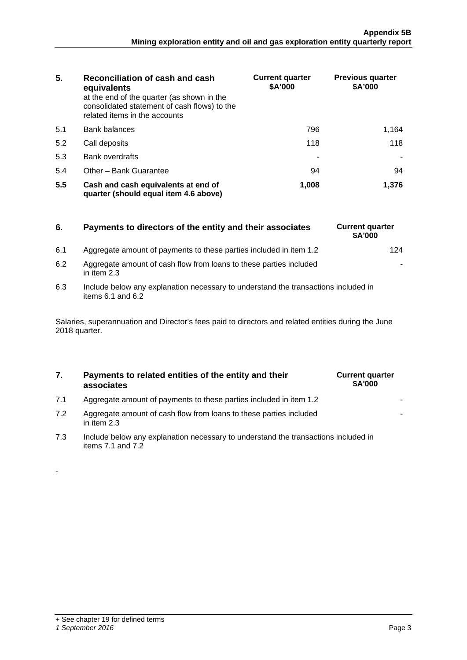| 5.  | Reconciliation of cash and cash<br>equivalents<br>at the end of the quarter (as shown in the<br>consolidated statement of cash flows) to the<br>related items in the accounts | <b>Current quarter</b><br>\$A'000 | <b>Previous quarter</b><br>\$A'000 |
|-----|-------------------------------------------------------------------------------------------------------------------------------------------------------------------------------|-----------------------------------|------------------------------------|
| 5.1 | Bank balances                                                                                                                                                                 | 796                               | 1.164                              |
| 5.2 | Call deposits                                                                                                                                                                 | 118                               | 118                                |
| 5.3 | <b>Bank overdrafts</b>                                                                                                                                                        |                                   |                                    |
| 5.4 | Other - Bank Guarantee                                                                                                                                                        | 94                                | 94                                 |
| 5.5 | Cash and cash equivalents at end of<br>quarter (should equal item 4.6 above)                                                                                                  | 1,008                             | 1.376                              |

| 6.  | Payments to directors of the entity and their associates           | <b>Current quarter</b><br><b>SA'000</b> |
|-----|--------------------------------------------------------------------|-----------------------------------------|
| 6.1 | Aggregate amount of payments to these parties included in item 1.2 | 124                                     |

- 6.2 Aggregate amount of cash flow from loans to these parties included in item 2.3
- 6.3 Include below any explanation necessary to understand the transactions included in items  $6.1$  and  $6.2$

Salaries, superannuation and Director's fees paid to directors and related entities during the June 2018 quarter.

#### **7. Payments to related entities of the entity and their associates**

| <b>Current quarter</b><br>\$A'000 |  |
|-----------------------------------|--|
|                                   |  |
|                                   |  |

**6.** Current quarter **\$A'000**

-

- 7.1 Aggregate amount of payments to these parties included in item 1.2
- 7.2 Aggregate amount of cash flow from loans to these parties included in item 2.3
- 7.3 Include below any explanation necessary to understand the transactions included in items 7.1 and 7.2

-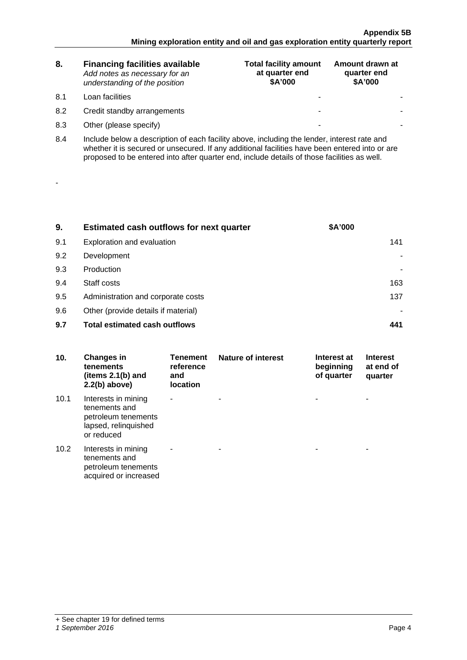| 8.  | <b>Financing facilities available</b><br>Add notes as necessary for an<br>understanding of the position                                                                                                                                                                                      | <b>Total facility amount</b><br>at quarter end<br>\$A'000 | Amount drawn at<br>quarter end<br>\$A'000 |  |  |
|-----|----------------------------------------------------------------------------------------------------------------------------------------------------------------------------------------------------------------------------------------------------------------------------------------------|-----------------------------------------------------------|-------------------------------------------|--|--|
| 8.1 | Loan facilities                                                                                                                                                                                                                                                                              | -                                                         |                                           |  |  |
| 8.2 | Credit standby arrangements                                                                                                                                                                                                                                                                  | -                                                         |                                           |  |  |
| 8.3 | Other (please specify)                                                                                                                                                                                                                                                                       | -                                                         |                                           |  |  |
| 8.4 | Include below a description of each facility above, including the lender, interest rate and<br>whether it is secured or unsecured. If any additional facilities have been entered into or are<br>proposed to be entered into after quarter end, include details of those facilities as well. |                                                           |                                           |  |  |

| 9.  | <b>Estimated cash outflows for next quarter</b> | <b>\$A'000</b> |
|-----|-------------------------------------------------|----------------|
| 9.1 | Exploration and evaluation                      |                |
| 9.2 | Development                                     |                |
| 9.3 | Production                                      |                |
| 9.4 | Staff costs                                     | 163            |
| 9.5 | Administration and corporate costs              | 137            |
| 9.6 | Other (provide details if material)             |                |
| 9.7 | <b>Total estimated cash outflows</b>            |                |

| 10.  | <b>Changes in</b><br>tenements<br>(items 2.1(b) and<br>$2.2(b)$ above)                            | <b>Tenement</b><br>reference<br>and<br><b>location</b> | Nature of interest | Interest at<br>beginning<br>of quarter | <b>Interest</b><br>at end of<br>quarter |
|------|---------------------------------------------------------------------------------------------------|--------------------------------------------------------|--------------------|----------------------------------------|-----------------------------------------|
| 10.1 | Interests in mining<br>tenements and<br>petroleum tenements<br>lapsed, relinquished<br>or reduced |                                                        |                    |                                        |                                         |
| 10.2 | Interests in mining<br>tenements and<br>petroleum tenements<br>acquired or increased              |                                                        |                    |                                        |                                         |

-